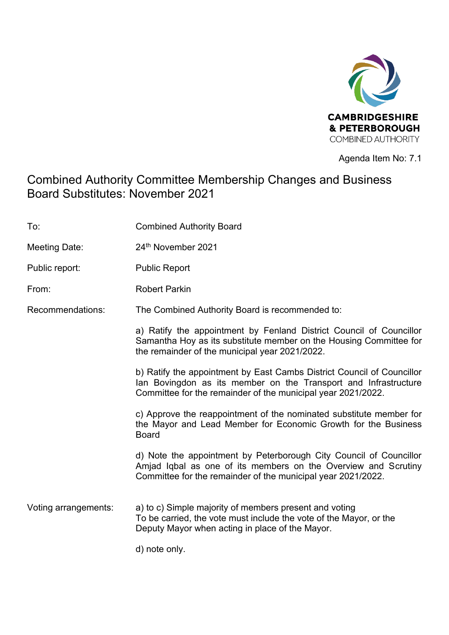

Agenda Item No: 7.1

# Combined Authority Committee Membership Changes and Business Board Substitutes: November 2021

| To:                  | <b>Combined Authority Board</b>                                                                                                                                                                           |
|----------------------|-----------------------------------------------------------------------------------------------------------------------------------------------------------------------------------------------------------|
| Meeting Date:        | 24th November 2021                                                                                                                                                                                        |
| Public report:       | <b>Public Report</b>                                                                                                                                                                                      |
| From:                | <b>Robert Parkin</b>                                                                                                                                                                                      |
| Recommendations:     | The Combined Authority Board is recommended to:                                                                                                                                                           |
|                      | a) Ratify the appointment by Fenland District Council of Councillor<br>Samantha Hoy as its substitute member on the Housing Committee for<br>the remainder of the municipal year 2021/2022.               |
|                      | b) Ratify the appointment by East Cambs District Council of Councillor<br>lan Bovingdon as its member on the Transport and Infrastructure<br>Committee for the remainder of the municipal year 2021/2022. |
|                      | c) Approve the reappointment of the nominated substitute member for<br>the Mayor and Lead Member for Economic Growth for the Business<br><b>Board</b>                                                     |
|                      | d) Note the appointment by Peterborough City Council of Councillor<br>Amjad Iqbal as one of its members on the Overview and Scrutiny<br>Committee for the remainder of the municipal year 2021/2022.      |
| Voting arrangements: | a) to c) Simple majority of members present and voting<br>To be carried, the vote must include the vote of the Mayor, or the<br>Deputy Mayor when acting in place of the Mayor.                           |
|                      | d) note only.                                                                                                                                                                                             |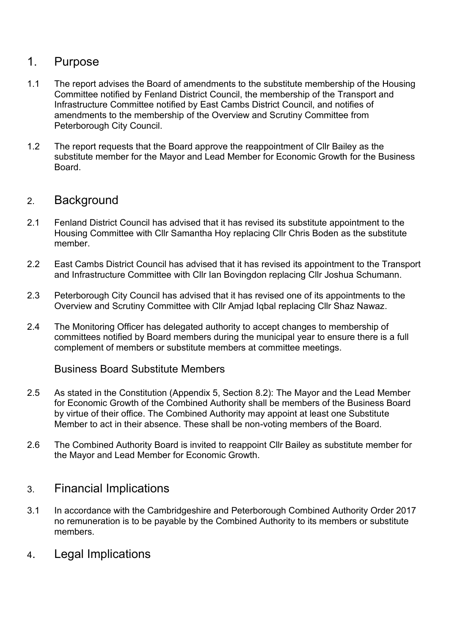### 1. Purpose

- 1.1 The report advises the Board of amendments to the substitute membership of the Housing Committee notified by Fenland District Council, the membership of the Transport and Infrastructure Committee notified by East Cambs District Council, and notifies of amendments to the membership of the Overview and Scrutiny Committee from Peterborough City Council.
- 1.2 The report requests that the Board approve the reappointment of Cllr Bailey as the substitute member for the Mayor and Lead Member for Economic Growth for the Business Board.

### 2. Background

- 2.1 Fenland District Council has advised that it has revised its substitute appointment to the Housing Committee with Cllr Samantha Hoy replacing Cllr Chris Boden as the substitute member.
- 2.2 East Cambs District Council has advised that it has revised its appointment to the Transport and Infrastructure Committee with Cllr Ian Bovingdon replacing Cllr Joshua Schumann.
- 2.3 Peterborough City Council has advised that it has revised one of its appointments to the Overview and Scrutiny Committee with Cllr Amjad Iqbal replacing Cllr Shaz Nawaz.
- 2.4 The Monitoring Officer has delegated authority to accept changes to membership of committees notified by Board members during the municipal year to ensure there is a full complement of members or substitute members at committee meetings.

#### Business Board Substitute Members

- 2.5 As stated in the Constitution (Appendix 5, Section 8.2): The Mayor and the Lead Member for Economic Growth of the Combined Authority shall be members of the Business Board by virtue of their office. The Combined Authority may appoint at least one Substitute Member to act in their absence. These shall be non-voting members of the Board.
- 2.6 The Combined Authority Board is invited to reappoint Cllr Bailey as substitute member for the Mayor and Lead Member for Economic Growth.

### 3. Financial Implications

- 3.1 In accordance with the Cambridgeshire and Peterborough Combined Authority Order 2017 no remuneration is to be payable by the Combined Authority to its members or substitute members.
- 4. Legal Implications